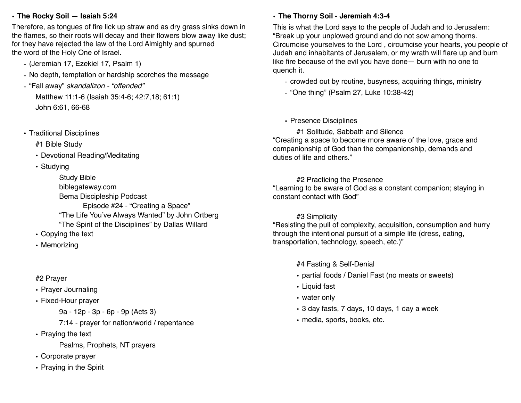**• The Rocky Soil — Isaiah 5:24** 

Therefore, as tongues of fire lick up straw and as dry grass sinks down in the flames, so their roots will decay and their flowers blow away like dust; for they have rejected the law of the Lord Almighty and spurned the word of the Holy One of Israel.

- (Jeremiah 17, Ezekiel 17, Psalm 1)
- No depth, temptation or hardship scorches the message
- "Fall away" *skandalizon "offended"*

Matthew 11:1-6 (Isaiah 35:4-6; 42:7,18; 61:1) John 6:61, 66-68

• Traditional Disciplines

#1 Bible Study

- Devotional Reading/Meditating
- Studying

Study Bible biblegateway.com Bema Discipleship Podcast Episode #24 - "Creating a Space" "The Life You've Always Wanted" by John Ortberg "The Spirit of the Disciplines" by Dallas Willard

- Copying the text
- Memorizing

# #2 Prayer

- Prayer Journaling
- Fixed-Hour prayer

9a - 12p - 3p - 6p - 9p (Acts 3)

7:14 - prayer for nation/world / repentance

• Praying the text

Psalms, Prophets, NT prayers

- Corporate prayer
- Praying in the Spirit

# **• The Thorny Soil - Jeremiah 4:3-4**

This is what the Lord says to the people of Judah and to Jerusalem: "Break up your unplowed ground and do not sow among thorns. Circumcise yourselves to the Lord , circumcise your hearts, you people of Judah and inhabitants of Jerusalem, or my wrath will flare up and burn like fire because of the evil you have done— burn with no one to quench it.

- crowded out by routine, busyness, acquiring things, ministry
- "One thing" (Psalm 27, Luke 10:38-42)
- Presence Disciplines

#1 Solitude, Sabbath and Silence "Creating a space to become more aware of the love, grace and companionship of God than the companionship, demands and duties of life and others."

## #2 Practicing the Presence

"Learning to be aware of God as a constant companion; staying in constant contact with God"

### #3 Simplicity

"Resisting the pull of complexity, acquisition, consumption and hurry through the intentional pursuit of a simple life (dress, eating, transportation, technology, speech, etc.)"

#4 Fasting & Self-Denial

- partial foods / Daniel Fast (no meats or sweets)
- Liquid fast
- water only
- 3 day fasts, 7 days, 10 days, 1 day a week
- media, sports, books, etc.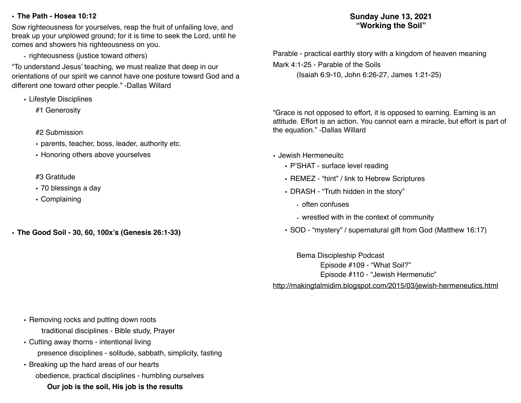#### **• The Path - Hosea 10:12**

Sow righteousness for yourselves, reap the fruit of unfailing love, and break up your unplowed ground; for it is time to seek the Lord, until he comes and showers his righteousness on you.

- righteousness (justice toward others)

"To understand Jesus' teaching, we must realize that deep in our orientations of our spirit we cannot have one posture toward God and a different one toward other people." -Dallas Willard

- Lifestyle Disciplines
	- #1 Generosity
	- #2 Submission
	- parents, teacher, boss, leader, authority etc.
	- Honoring others above yourselves

#### #3 Gratitude

- 70 blessings a day
- Complaining
- **• The Good Soil 30, 60, 100x's (Genesis 26:1-33)**

## **Sunday June 13, 2021 "Working the Soil"**

Parable - practical earthly story with a kingdom of heaven meaning Mark 4:1-25 - Parable of the Soils (Isaiah 6:9-10, John 6:26-27, James 1:21-25)

"Grace is not opposed to effort, it is opposed to earning. Earning is an attitude. Effort is an action. You cannot earn a miracle, but effort is part of the equation." -Dallas Willard

- Jewish Hermeneuitc
	- P'SHAT surface level reading
	- REMEZ "hint" / link to Hebrew Scriptures
	- DRASH "Truth hidden in the story"
		- often confuses
		- wrestled with in the context of community
	- SOD "mystery" / supernatural gift from God (Matthew 16:17)

Bema Discipleship Podcast Episode #109 - "What Soil?" Episode #110 - "Jewish Hermenutic"

http://makingtalmidim.blogspot.com/2015/03/jewish-hermeneutics.html

- Removing rocks and putting down roots traditional disciplines - Bible study, Prayer
- Cutting away thorns intentional living presence disciplines - solitude, sabbath, simplicity, fasting
- Breaking up the hard areas of our hearts obedience, practical disciplines - humbling ourselves **Our job is the soil, His job is the results**